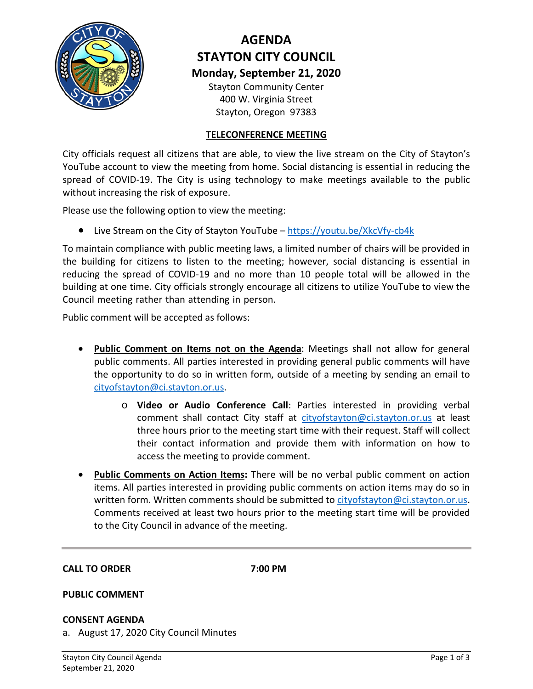

# **AGENDA STAYTON CITY COUNCIL Monday, September 21, 2020**

Stayton Community Center 400 W. Virginia Street Stayton, Oregon 97383

# **TELECONFERENCE MEETING**

City officials request all citizens that are able, to view the live stream on the City of Stayton's YouTube account to view the meeting from home. Social distancing is essential in reducing the spread of COVID-19. The City is using technology to make meetings available to the public without increasing the risk of exposure.

Please use the following option to view the meeting:

• Live Stream on the City of Stayton YouTube –<https://youtu.be/XkcVfy-cb4k>

To maintain compliance with public meeting laws, a limited number of chairs will be provided in the building for citizens to listen to the meeting; however, social distancing is essential in reducing the spread of COVID-19 and no more than 10 people total will be allowed in the building at one time. City officials strongly encourage all citizens to utilize YouTube to view the Council meeting rather than attending in person.

Public com[ment will be accepted as](mailto:cityofstayton@ci.stayton.or.us) follows:

- **Public Comment on Items not on the Agenda**: Meetings shall not allow for general public comments. All parties interested in providing general public comments will have the opportunity to do so in written form, outside of a meeting by sending an email to [cityofstayton@ci.stayton.or.us.](mailto:cityofstayton@ci.stayton.or.us)
	- o **Video or Audio Conference Call**: Parties interested in providing verbal comment shall contact City staff at [cityofstayton@ci.stayton.or.us](mailto:cityofstayton@ci.stayton.or.us) at least three hours prior to the meeting start time with their request. Staff will collect their contact information and provide them with information on how to access the meeting to provide comment.
- **Public Comments on Action Items:** There will be no verbal public comment on action items. All parties interested in providing public comments on action items may do so in written form. Written comments should be submitted to [cityofstayton@ci.stayton.or.us.](mailto:cityofstayton@ci.stayton.or.us) Comments received at least two hours prior to the meeting start time will be provided to the City Council in advance of the meeting.

# **CALL TO ORDER 7:00 PM**

# **PUBLIC COMMENT**

# **CONSENT AGENDA**

a. August 17, 2020 City Council Minutes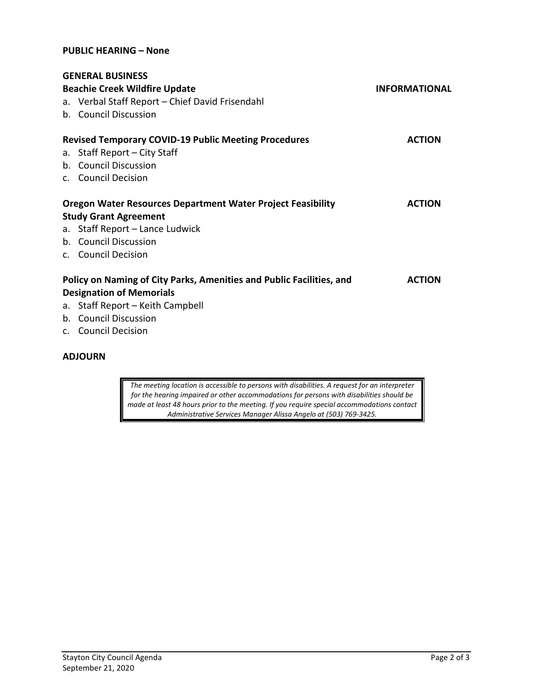## **PUBLIC HEARING – None**

| <b>GENERAL BUSINESS</b>                                              |                      |
|----------------------------------------------------------------------|----------------------|
| <b>Beachie Creek Wildfire Update</b>                                 | <b>INFORMATIONAL</b> |
| a. Verbal Staff Report - Chief David Frisendahl                      |                      |
| b. Council Discussion                                                |                      |
| <b>Revised Temporary COVID-19 Public Meeting Procedures</b>          | <b>ACTION</b>        |
| a. Staff Report - City Staff                                         |                      |
| b. Council Discussion                                                |                      |
| c. Council Decision                                                  |                      |
| <b>Oregon Water Resources Department Water Project Feasibility</b>   | <b>ACTION</b>        |
| <b>Study Grant Agreement</b>                                         |                      |
| a. Staff Report - Lance Ludwick                                      |                      |
| b. Council Discussion                                                |                      |
| c. Council Decision                                                  |                      |
| Policy on Naming of City Parks, Amenities and Public Facilities, and | <b>ACTION</b>        |
| <b>Designation of Memorials</b>                                      |                      |
| a. Staff Report - Keith Campbell                                     |                      |
| b. Council Discussion                                                |                      |
| c. Council Decision                                                  |                      |

# **ADJOURN**

*The meeting location is accessible to persons with disabilities. A request for an interpreter for the hearing impaired or other accommodations for persons with disabilities should be made at least 48 hours prior to the meeting. If you require special accommodations contact Administrative Services Manager Alissa Angelo at (503) 769-3425.*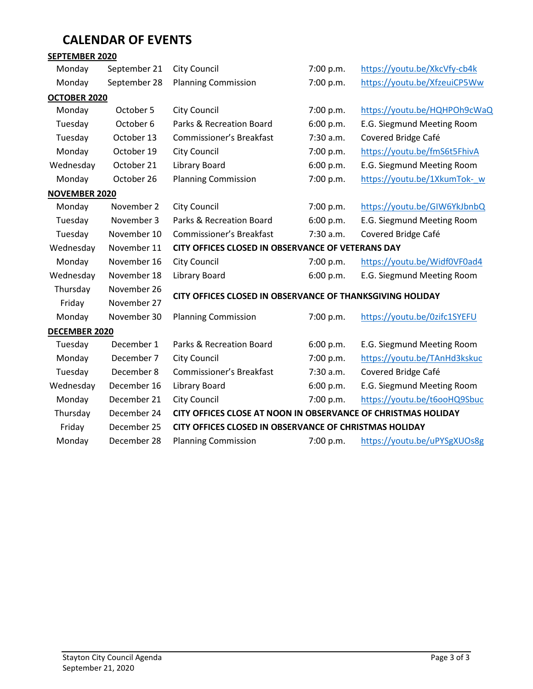# **CALENDAR OF EVENTS**

# **SEPTEMBER 2020**

| Monday               | September 21 | <b>City Council</b>                                           | 7:00 p.m. | https://youtu.be/XkcVfy-cb4k |
|----------------------|--------------|---------------------------------------------------------------|-----------|------------------------------|
| Monday               | September 28 | <b>Planning Commission</b>                                    | 7:00 p.m. | https://youtu.be/XfzeuiCP5Ww |
| OCTOBER 2020         |              |                                                               |           |                              |
| Monday               | October 5    | <b>City Council</b>                                           | 7:00 p.m. | https://youtu.be/HQHPOh9cWaQ |
| Tuesday              | October 6    | Parks & Recreation Board                                      | 6:00 p.m. | E.G. Siegmund Meeting Room   |
| Tuesday              | October 13   | Commissioner's Breakfast                                      | 7:30 a.m. | Covered Bridge Café          |
| Monday               | October 19   | <b>City Council</b>                                           | 7:00 p.m. | https://youtu.be/fmS6t5FhivA |
| Wednesday            | October 21   | <b>Library Board</b>                                          | 6:00 p.m. | E.G. Siegmund Meeting Room   |
| Monday               | October 26   | <b>Planning Commission</b>                                    | 7:00 p.m. | https://youtu.be/1XkumTok- w |
| <b>NOVEMBER 2020</b> |              |                                                               |           |                              |
| Monday               | November 2   | <b>City Council</b>                                           | 7:00 p.m. | https://youtu.be/GIW6YkJbnbQ |
| Tuesday              | November 3   | Parks & Recreation Board                                      | 6:00 p.m. | E.G. Siegmund Meeting Room   |
| Tuesday              | November 10  | Commissioner's Breakfast                                      | 7:30 a.m. | Covered Bridge Café          |
| Wednesday            | November 11  | CITY OFFICES CLOSED IN OBSERVANCE OF VETERANS DAY             |           |                              |
| Monday               | November 16  | <b>City Council</b>                                           | 7:00 p.m. | https://youtu.be/Widf0VF0ad4 |
| Wednesday            | November 18  | Library Board                                                 | 6:00 p.m. | E.G. Siegmund Meeting Room   |
| Thursday             | November 26  | CITY OFFICES CLOSED IN OBSERVANCE OF THANKSGIVING HOLIDAY     |           |                              |
| Friday               | November 27  |                                                               |           |                              |
| Monday               | November 30  | <b>Planning Commission</b>                                    | 7:00 p.m. | https://youtu.be/0zifc1SYEFU |
| DECEMBER 2020        |              |                                                               |           |                              |
| Tuesday              | December 1   | Parks & Recreation Board                                      | 6:00 p.m. | E.G. Siegmund Meeting Room   |
| Monday               | December 7   | <b>City Council</b>                                           | 7:00 p.m. | https://youtu.be/TAnHd3kskuc |
| Tuesday              | December 8   | Commissioner's Breakfast                                      | 7:30 a.m. | Covered Bridge Café          |
| Wednesday            | December 16  | Library Board                                                 | 6:00 p.m. | E.G. Siegmund Meeting Room   |
| Monday               | December 21  | City Council                                                  | 7:00 p.m. | https://youtu.be/t6ooHQ9Sbuc |
| Thursday             | December 24  | CITY OFFICES CLOSE AT NOON IN OBSERVANCE OF CHRISTMAS HOLIDAY |           |                              |
| Friday               | December 25  | CITY OFFICES CLOSED IN OBSERVANCE OF CHRISTMAS HOLIDAY        |           |                              |
| Monday               | December 28  | <b>Planning Commission</b>                                    | 7:00 p.m. | https://youtu.be/uPYSgXUOs8g |
|                      |              |                                                               |           |                              |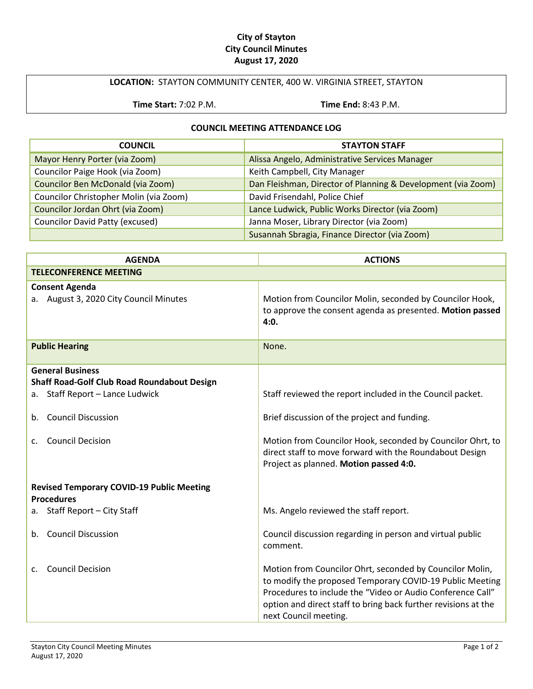# **City of Stayton City Council Minutes August 17, 2020**

# **LOCATION:** STAYTON COMMUNITY CENTER, 400 W. VIRGINIA STREET, STAYTON

**Time Start:** 7:02 P.M. **Time End:** 8:43 P.M.

## **COUNCIL MEETING ATTENDANCE LOG**

| <b>COUNCIL</b>                         | <b>STAYTON STAFF</b>                                         |
|----------------------------------------|--------------------------------------------------------------|
| Mayor Henry Porter (via Zoom)          | Alissa Angelo, Administrative Services Manager               |
| Councilor Paige Hook (via Zoom)        | Keith Campbell, City Manager                                 |
| Councilor Ben McDonald (via Zoom)      | Dan Fleishman, Director of Planning & Development (via Zoom) |
| Councilor Christopher Molin (via Zoom) | David Frisendahl, Police Chief                               |
| Councilor Jordan Ohrt (via Zoom)       | Lance Ludwick, Public Works Director (via Zoom)              |
| <b>Councilor David Patty (excused)</b> | Janna Moser, Library Director (via Zoom)                     |
|                                        | Susannah Sbragia, Finance Director (via Zoom)                |

| <b>AGENDA</b>                                                                                                                                                              | <b>ACTIONS</b>                                                                                                                                                                                                                                                                |
|----------------------------------------------------------------------------------------------------------------------------------------------------------------------------|-------------------------------------------------------------------------------------------------------------------------------------------------------------------------------------------------------------------------------------------------------------------------------|
| <b>TELECONFERENCE MEETING</b>                                                                                                                                              |                                                                                                                                                                                                                                                                               |
| <b>Consent Agenda</b><br>a. August 3, 2020 City Council Minutes                                                                                                            | Motion from Councilor Molin, seconded by Councilor Hook,<br>to approve the consent agenda as presented. Motion passed<br>4:0.                                                                                                                                                 |
| <b>Public Hearing</b>                                                                                                                                                      | None.                                                                                                                                                                                                                                                                         |
| <b>General Business</b><br>Shaff Road-Golf Club Road Roundabout Design<br>Staff Report - Lance Ludwick<br>а.<br><b>Council Discussion</b><br>b.<br><b>Council Decision</b> | Staff reviewed the report included in the Council packet.<br>Brief discussion of the project and funding.<br>Motion from Councilor Hook, seconded by Councilor Ohrt, to<br>direct staff to move forward with the Roundabout Design<br>Project as planned. Motion passed 4:0.  |
| <b>Revised Temporary COVID-19 Public Meeting</b><br><b>Procedures</b>                                                                                                      |                                                                                                                                                                                                                                                                               |
| Staff Report - City Staff<br>а.                                                                                                                                            | Ms. Angelo reviewed the staff report.                                                                                                                                                                                                                                         |
| <b>Council Discussion</b><br>b.                                                                                                                                            | Council discussion regarding in person and virtual public<br>comment.                                                                                                                                                                                                         |
| <b>Council Decision</b><br>$\mathsf{C}$ .                                                                                                                                  | Motion from Councilor Ohrt, seconded by Councilor Molin,<br>to modify the proposed Temporary COVID-19 Public Meeting<br>Procedures to include the "Video or Audio Conference Call"<br>option and direct staff to bring back further revisions at the<br>next Council meeting. |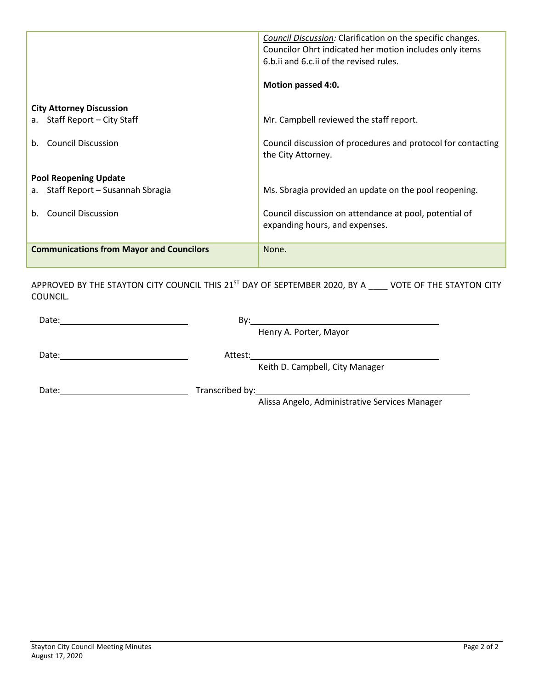|                                                 | <b>Council Discussion:</b> Clarification on the specific changes.<br>Councilor Ohrt indicated her motion includes only items<br>6.b.ii and 6.c.ii of the revised rules.<br>Motion passed 4:0. |
|-------------------------------------------------|-----------------------------------------------------------------------------------------------------------------------------------------------------------------------------------------------|
| <b>City Attorney Discussion</b>                 |                                                                                                                                                                                               |
| Staff Report – City Staff<br>$a_{\cdot}$        | Mr. Campbell reviewed the staff report.                                                                                                                                                       |
|                                                 |                                                                                                                                                                                               |
| <b>Council Discussion</b><br>$h_{\cdot}$        | Council discussion of procedures and protocol for contacting<br>the City Attorney.                                                                                                            |
| <b>Pool Reopening Update</b>                    |                                                                                                                                                                                               |
| Staff Report – Susannah Sbragia<br>a.           | Ms. Sbragia provided an update on the pool reopening.                                                                                                                                         |
|                                                 |                                                                                                                                                                                               |
| <b>Council Discussion</b><br>b.                 | Council discussion on attendance at pool, potential of                                                                                                                                        |
|                                                 | expanding hours, and expenses.                                                                                                                                                                |
| <b>Communications from Mayor and Councilors</b> | None.                                                                                                                                                                                         |

APPROVED BY THE STAYTON CITY COUNCIL THIS 21<sup>ST</sup> DAY OF SEPTEMBER 2020, BY A \_\_\_\_ VOTE OF THE STAYTON CITY COUNCIL.

|       | Bv:<br><u> 1980 - Jan Samuel Barbara, martin da shekara 1980 - An tsara 1980 - An tsara 1980 - An tsara 1980 - An tsara</u> |  |
|-------|-----------------------------------------------------------------------------------------------------------------------------|--|
|       | Henry A. Porter, Mayor                                                                                                      |  |
| Date: | Attest:                                                                                                                     |  |
|       | Keith D. Campbell, City Manager                                                                                             |  |
| Date: |                                                                                                                             |  |
|       | Alissa Angelo, Administrative Services Manager                                                                              |  |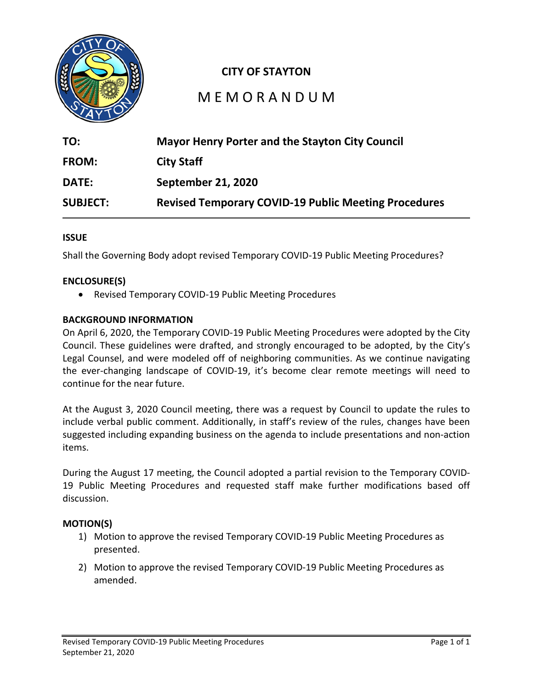

# **CITY OF STAYTON**

# M E M O R A N D U M

| TO:             | <b>Mayor Henry Porter and the Stayton City Council</b>      |
|-----------------|-------------------------------------------------------------|
| <b>FROM:</b>    | <b>City Staff</b>                                           |
| <b>DATE:</b>    | September 21, 2020                                          |
| <b>SUBJECT:</b> | <b>Revised Temporary COVID-19 Public Meeting Procedures</b> |

# **ISSUE**

Shall the Governing Body adopt revised Temporary COVID-19 Public Meeting Procedures?

# **ENCLOSURE(S)**

• Revised Temporary COVID-19 Public Meeting Procedures

## **BACKGROUND INFORMATION**

On April 6, 2020, the Temporary COVID-19 Public Meeting Procedures were adopted by the City Council. These guidelines were drafted, and strongly encouraged to be adopted, by the City's Legal Counsel, and were modeled off of neighboring communities. As we continue navigating the ever-changing landscape of COVID-19, it's become clear remote meetings will need to continue for the near future.

At the August 3, 2020 Council meeting, there was a request by Council to update the rules to include verbal public comment. Additionally, in staff's review of the rules, changes have been suggested including expanding business on the agenda to include presentations and non-action items.

During the August 17 meeting, the Council adopted a partial revision to the Temporary COVID-19 Public Meeting Procedures and requested staff make further modifications based off discussion.

# **MOTION(S)**

- 1) Motion to approve the revised Temporary COVID-19 Public Meeting Procedures as presented.
- 2) Motion to approve the revised Temporary COVID-19 Public Meeting Procedures as amended.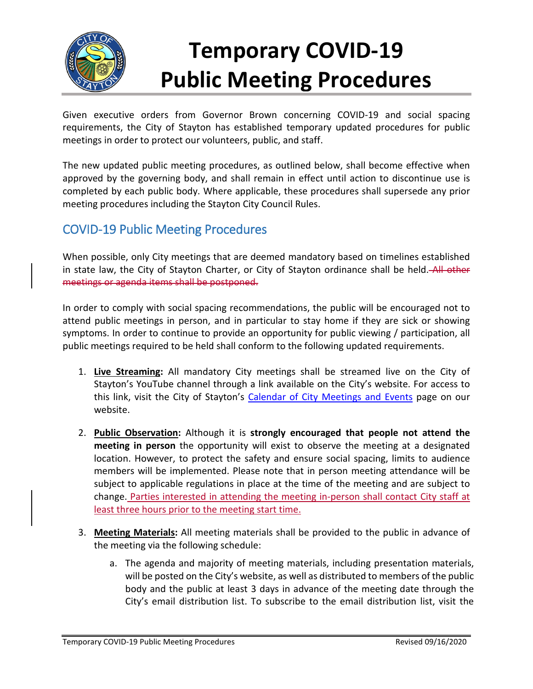

# **Temporary COVID-19 Public Meeting Procedures**

Given executive orders from Governor Brown concerning COVID-19 and social spacing requirements, the City of Stayton has established temporary updated procedures for public meetings in order to protect our volunteers, public, and staff.

The new updated public meeting procedures, as outlined below, shall become effective when approved by the governing body, and shall remain in effect until action to discontinue use is completed by each public body. Where applicable, these procedures shall supersede any prior meeting procedures including the Stayton City Council Rules.

# COVID-19 Public Meeting Procedures

When possible, only City meetings that are deemed mandatory based on timelines established in state law, the City of Stayton Charter, or City of Stayton ordinance shall be held. All other meetings or agenda items shall be postponed.

In order to comply with social spacing recommendations, the public will be encouraged not to attend public meetings in person, and in particular to stay home if they are sick or showing symptoms. In order to continue to provide an opportunity for public viewing / participation, all public meetings required to be held shall conform to the following updated requirements.

- 1. **Live Streaming:** All mandatory City meetings shall be streamed live on the City of Stayton's YouTube channel through a link available on the City's website. For access to this link, visit the City of Stayton's [Calendar of City Meetings and Events](http://www.staytonoregon.gov/page/admin_calendar) page on our website.
- 2. **Public Observation:** Although it is **strongly encouraged that people not attend the meeting in person** the opportunity will exist to observe the meeting at a designated location. However, to protect the safety and ensure social spacing, limits to audience members will be implemented. Please note that in person meeting attendance will be subject to applicable regulations in place at the time of the meeting and are subject to change. Parties interested in attending the meeting in-person shall contact City staff at least three hours prior to the meeting start time.
- 3. **Meeting Materials:** All meeting materials shall be provided to the public in advance of the meeting via the following schedule:
	- a. The agenda and majority of meeting materials, including presentation materials, will be posted on the City's website, as well as distributed to members of the public body and the public at least 3 days in advance of the meeting date through the City's email distribution list. To subscribe to the email distribution list, visit the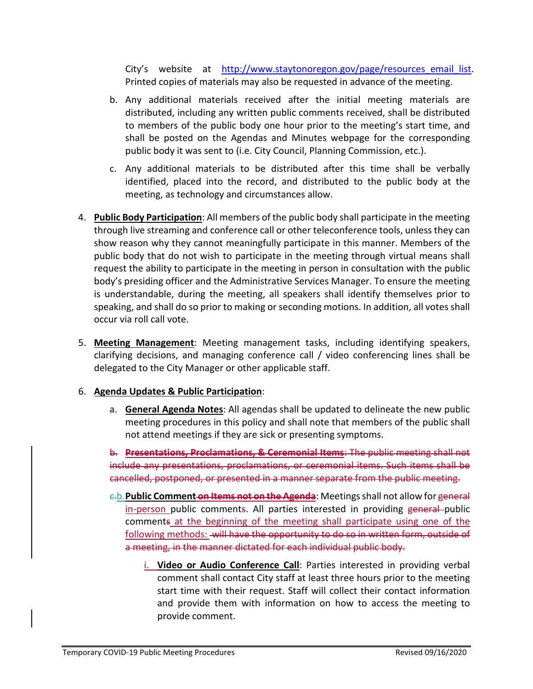City's website at [http://www.staytonoregon.gov/page/resources\\_email\\_list.](http://www.staytonoregon.gov/page/resources_email_list) Printed copies of materials may also be requested in advance of the meeting.

- b. Any additional materials received after the initial meeting materials are distributed, including any written public comments received, shall be distributed to members of the public body one hour prior to the meeting's start time, and shall be posted on the Agendas and Minutes webpage for the corresponding public body it was sent to (i.e. City Council, Planning Commission, etc.).
- c. Any additional materials to be distributed after this time shall be verbally identified, placed into the record, and distributed to the public body at the meeting, as technology and circumstances allow.
- 4. **Public Body Participation**: All members of the public body shall participate in the meeting through live streaming and conference call or other teleconference tools, unless they can show reason why they cannot meaningfully participate in this manner. Members of the public body that do not wish to participate in the meeting through virtual means shall request the ability to participate in the meeting in person in consultation with the public body's presiding officer and the Administrative Services Manager. To ensure the meeting is understandable, during the meeting, all speakers shall identify themselves prior to speaking, and shall do so prior to making or seconding motions. In addition, all votes shall occur via roll call vote.
- 5. **Meeting Management**: Meeting management tasks, including identifying speakers, clarifying decisions, and managing conference call / video conferencing lines shall be delegated to the City Manager or other applicable staff.

# 6. **Agenda Updates & Public Participation**:

a. **General Agenda Notes**: All agendas shall be updated to delineate the new public meeting procedures in this policy and shall note that members of the public shall not attend meetings if they are sick or presenting symptoms.

b. **Presentations, Proclamations, & Ceremonial Items**: The public meeting shall not include any presentations, proclamations, or ceremonial items. Such items shall be cancelled, postponed, or presented in a manner separate from the public meeting.

- c.b.**Public Comment on Items not on the Agenda**: Meetings shall not allow for general in-person public comments. All parties interested in providing general public comments at the beginning of the meeting shall participate using one of the following methods: will have the opportunity to do so in written form, outside of a meeting, in the manner dictated for each individual public body.
	- i. **Video or Audio Conference Call**: Parties interested in providing verbal comment shall contact City staff at least three hours prior to the meeting start time with their request. Staff will collect their contact information and provide them with information on how to access the meeting to provide comment.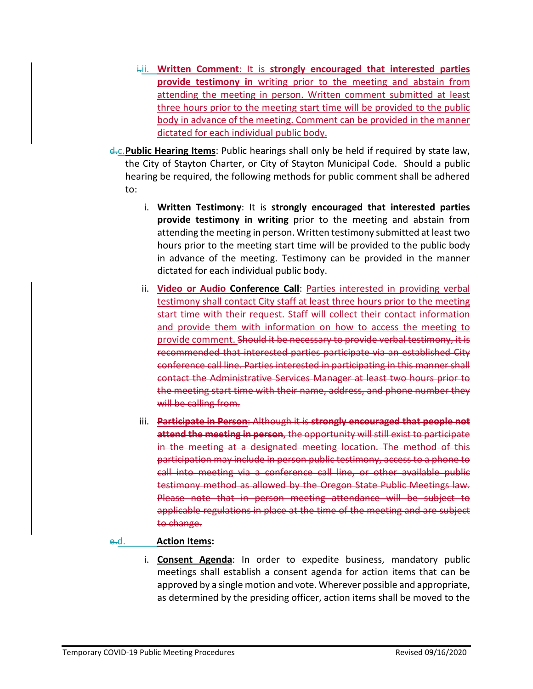- i.ii. **Written Comment**: It is **strongly encouraged that interested parties provide testimony in** writing prior to the meeting and abstain from attending the meeting in person. Written comment submitted at least three hours prior to the meeting start time will be provided to the public body in advance of the meeting. Comment can be provided in the manner dictated for each individual public body.
- d.c.**Public Hearing Items**: Public hearings shall only be held if required by state law, the City of Stayton Charter, or City of Stayton Municipal Code. Should a public hearing be required, the following methods for public comment shall be adhered to:
	- i. **Written Testimony**: It is **strongly encouraged that interested parties provide testimony in writing** prior to the meeting and abstain from attending the meeting in person. Written testimony submitted at least two hours prior to the meeting start time will be provided to the public body in advance of the meeting. Testimony can be provided in the manner dictated for each individual public body.
	- ii. **Video or Audio Conference Call**: Parties interested in providing verbal testimony shall contact City staff at least three hours prior to the meeting start time with their request. Staff will collect their contact information and provide them with information on how to access the meeting to provide comment. Should it be necessary to provide verbal testimony, it is recommended that interested parties participate via an established City conference call line. Parties interested in participating in this manner shall contact the Administrative Services Manager at least two hours prior to the meeting start time with their name, address, and phone number they will be calling from.
	- iii. **Participate in Person**: Although it is **strongly encouraged that people not attend the meeting in person**, the opportunity will still exist to participate in the meeting at a designated meeting location. The method of this participation may include in person public testimony, access to a phone to call into meeting via a conference call line, or other available public testimony method as allowed by the Oregon State Public Meetings law. Please note that in person meeting attendance will be subject to applicable regulations in place at the time of the meeting and are subject to change.

# e.d. **Action Items:**

i. **Consent Agenda**: In order to expedite business, mandatory public meetings shall establish a consent agenda for action items that can be approved by a single motion and vote. Wherever possible and appropriate, as determined by the presiding officer, action items shall be moved to the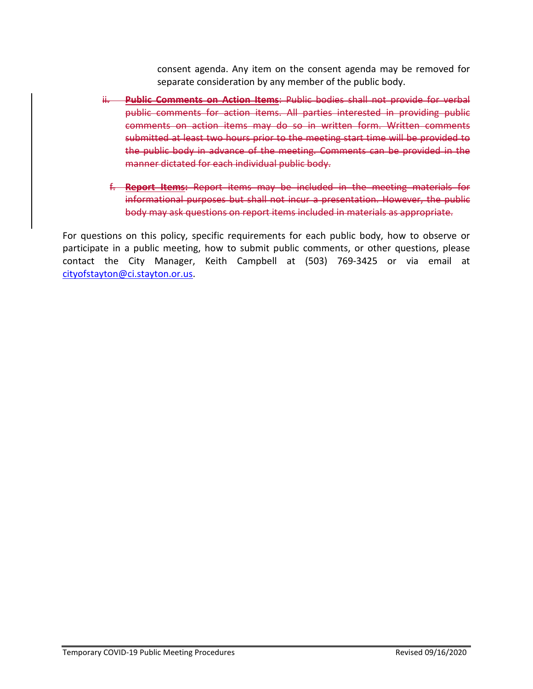consent agenda. Any item on the consent agenda may be removed for separate consideration by any member of the public body.

- ii. **Public Comments on Action Items**: Public bodies shall not provide for verbal public comments for action items. All parties interested in providing public comments on action items may do so in written form. Written comments submitted at least two hours prior to the meeting start time will be provided to the public body in advance of the meeting. Comments can be provided in the manner dictated for each individual public body.
	- f. **Report Items:** Report items may be included in the meeting materials for informational purposes but shall not incur a presentation. However, the public body may ask questions on report items included in materials as appropriate.

For questions on this policy, specific requirements for each public body, how to observe or participate in a public meeting, how to submit public comments, or other questions, please contact the City Manager, Keith Campbell at (503) 769-3425 or via email at [cityofstayton@ci.stayton.or.us.](mailto:cityofstayton@ci.stayton.or.us)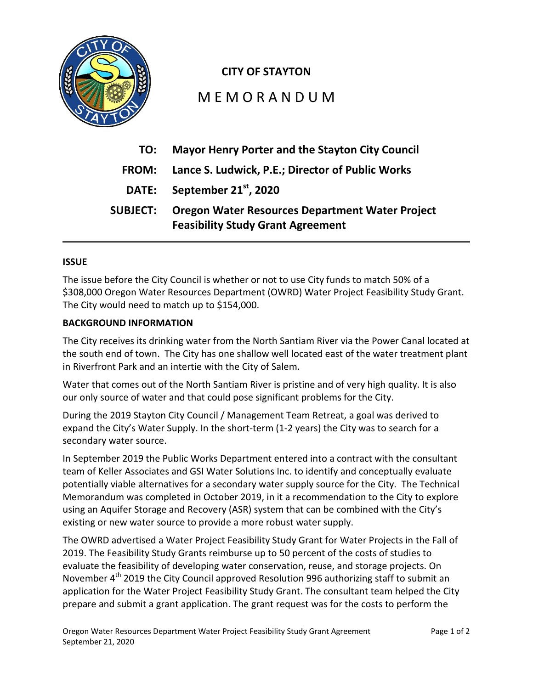

# **CITY OF STAYTON**

# M E M O R A N D U M

| TO:             | <b>Mayor Henry Porter and the Stayton City Council</b>                                             |
|-----------------|----------------------------------------------------------------------------------------------------|
| <b>FROM:</b>    | Lance S. Ludwick, P.E.; Director of Public Works                                                   |
|                 | DATE: September 21 <sup>st</sup> , 2020                                                            |
| <b>SUBJECT:</b> | <b>Oregon Water Resources Department Water Project</b><br><b>Feasibility Study Grant Agreement</b> |

# **ISSUE**

The issue before the City Council is whether or not to use City funds to match 50% of a \$308,000 Oregon Water Resources Department (OWRD) Water Project Feasibility Study Grant. The City would need to match up to \$154,000.

# **BACKGROUND INFORMATION**

The City receives its drinking water from the North Santiam River via the Power Canal located at the south end of town. The City has one shallow well located east of the water treatment plant in Riverfront Park and an intertie with the City of Salem.

Water that comes out of the North Santiam River is pristine and of very high quality. It is also our only source of water and that could pose significant problems for the City.

During the 2019 Stayton City Council / Management Team Retreat, a goal was derived to expand the City's Water Supply. In the short-term (1-2 years) the City was to search for a secondary water source.

In September 2019 the Public Works Department entered into a contract with the consultant team of Keller Associates and GSI Water Solutions Inc. to identify and conceptually evaluate potentially viable alternatives for a secondary water supply source for the City. The Technical Memorandum was completed in October 2019, in it a recommendation to the City to explore using an Aquifer Storage and Recovery (ASR) system that can be combined with the City's existing or new water source to provide a more robust water supply.

The OWRD advertised a Water Project Feasibility Study Grant for Water Projects in the Fall of 2019. The Feasibility Study Grants reimburse up to 50 percent of the costs of studies to evaluate the feasibility of developing water conservation, reuse, and storage projects. On November 4<sup>th</sup> 2019 the City Council approved Resolution 996 authorizing staff to submit an application for the Water Project Feasibility Study Grant. The consultant team helped the City prepare and submit a grant application. The grant request was for the costs to perform the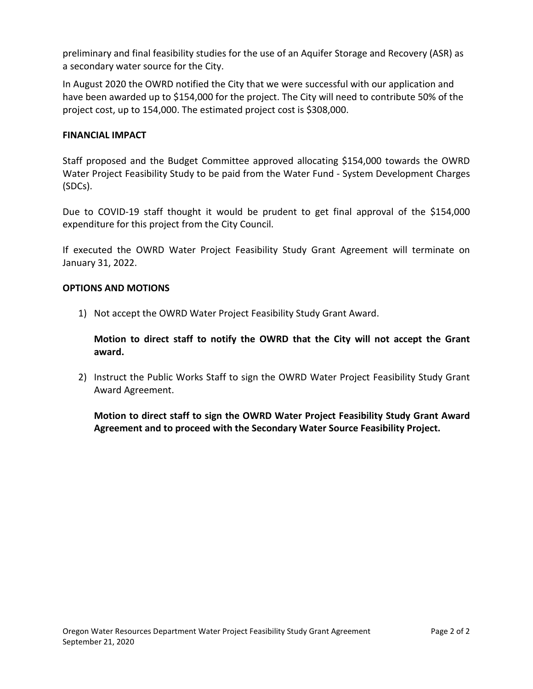preliminary and final feasibility studies for the use of an Aquifer Storage and Recovery (ASR) as a secondary water source for the City.

In August 2020 the OWRD notified the City that we were successful with our application and have been awarded up to \$154,000 for the project. The City will need to contribute 50% of the project cost, up to 154,000. The estimated project cost is \$308,000.

# **FINANCIAL IMPACT**

Staff proposed and the Budget Committee approved allocating \$154,000 towards the OWRD Water Project Feasibility Study to be paid from the Water Fund - System Development Charges (SDCs).

Due to COVID-19 staff thought it would be prudent to get final approval of the \$154,000 expenditure for this project from the City Council.

If executed the OWRD Water Project Feasibility Study Grant Agreement will terminate on January 31, 2022.

## **OPTIONS AND MOTIONS**

1) Not accept the OWRD Water Project Feasibility Study Grant Award.

**Motion to direct staff to notify the OWRD that the City will not accept the Grant award.**

2) Instruct the Public Works Staff to sign the OWRD Water Project Feasibility Study Grant Award Agreement.

**Motion to direct staff to sign the OWRD Water Project Feasibility Study Grant Award Agreement and to proceed with the Secondary Water Source Feasibility Project.**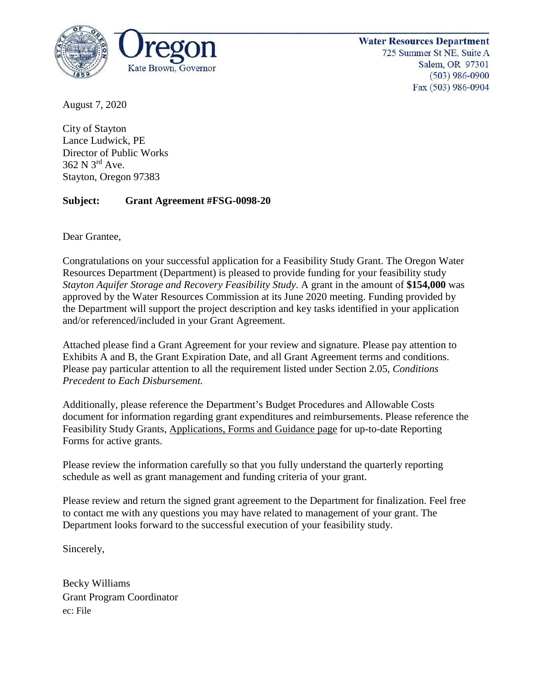

**Water Resources Department** 725 Summer St NE, Suite A Salem, OR 97301  $(503)$  986-0900 Fax (503) 986-0904

August 7, 2020

City of Stayton Lance Ludwick, PE Director of Public Works 362 N 3rd Ave. Stayton, Oregon 97383

# **Subject: Grant Agreement #FSG-0098-20**

Dear Grantee,

Congratulations on your successful application for a Feasibility Study Grant. The Oregon Water Resources Department (Department) is pleased to provide funding for your feasibility study *Stayton Aquifer Storage and Recovery Feasibility Study*. A grant in the amount of **\$154,000** was approved by the Water Resources Commission at its June 2020 meeting. Funding provided by the Department will support the project description and key tasks identified in your application and/or referenced/included in your Grant Agreement.

Attached please find a Grant Agreement for your review and signature. Please pay attention to Exhibits A and B, the Grant Expiration Date, and all Grant Agreement terms and conditions. Please pay particular attention to all the requirement listed under Section 2.05, *Conditions Precedent to Each Disbursement.*

Additionally, please reference the Department's Budget Procedures and Allowable Costs document for information regarding grant expenditures and reimbursements. Please reference the Feasibility Study Grants, [Applications, Forms and Guidance page](https://www.oregon.gov/OWRD/programs/FundingOpportunities/FeasibilityStudyGrants/Pages/Forms.aspx) for up-to-date Reporting Forms for active grants.

Please review the information carefully so that you fully understand the quarterly reporting schedule as well as grant management and funding criteria of your grant.

Please review and return the signed grant agreement to the Department for finalization. Feel free to contact me with any questions you may have related to management of your grant. The Department looks forward to the successful execution of your feasibility study.

Sincerely,

Becky Williams Grant Program Coordinator ec: File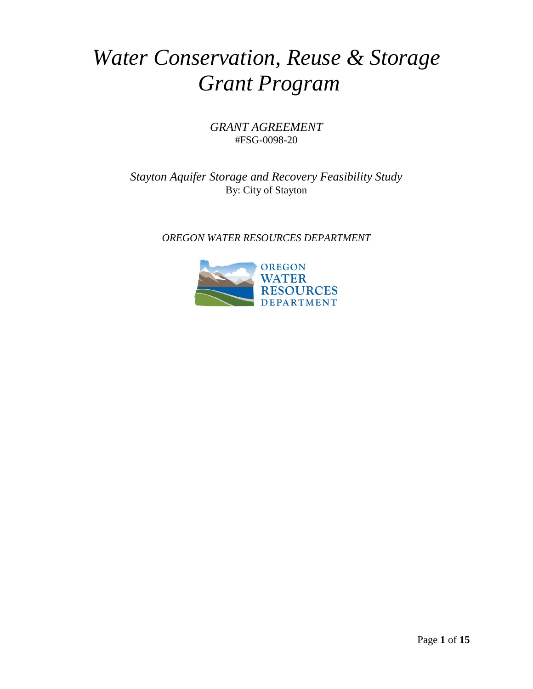# *Water Conservation, Reuse & Storage Grant Program*

# *GRANT AGREEMENT* #FSG-0098-20

*Stayton Aquifer Storage and Recovery Feasibility Study*  By: City of Stayton

*OREGON WATER RESOURCES DEPARTMENT*

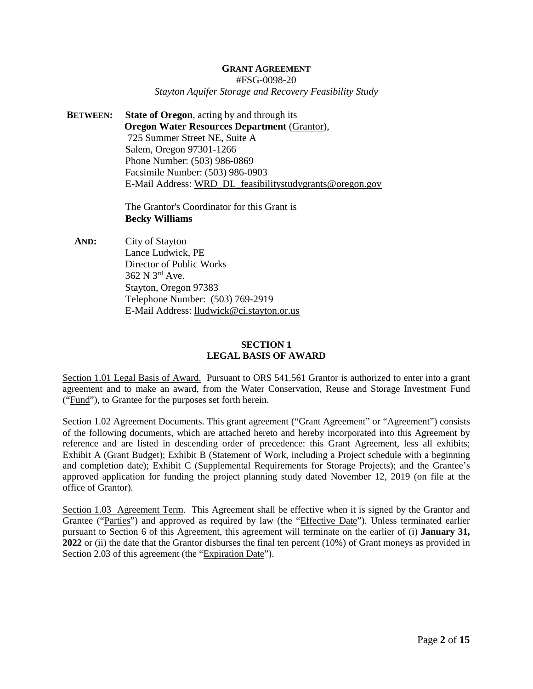#### **GRANT AGREEMENT**

#FSG-0098-20

#### *Stayton Aquifer Storage and Recovery Feasibility Study*

**BETWEEN: State of Oregon**, acting by and through its **Oregon Water Resources Department** (Grantor), 725 Summer Street NE, Suite A Salem, Oregon 97301-1266 Phone Number: (503) 986-0869 Facsimile Number: (503) 986-0903 E-Mail Address: [WRD\\_DL\\_feasibilitystudygrants@oregon.gov](mailto:WRD_DL_feasibilitystudygrants@oregon.gov)

> The Grantor's Coordinator for this Grant is **Becky Williams**

**AND:** City of Stayton Lance Ludwick, PE Director of Public Works 362 N 3rd Ave. Stayton, Oregon 97383 Telephone Number: (503) 769-2919 E-Mail Address: [lludwick@ci.stayton.or.us](mailto:lludwick@ci.stayton.or.us)

#### **SECTION 1 LEGAL BASIS OF AWARD**

Section 1.01 Legal Basis of Award. Pursuant to ORS 541.561 Grantor is authorized to enter into a grant agreement and to make an award, from the Water Conservation, Reuse and Storage Investment Fund ("Fund"), to Grantee for the purposes set forth herein.

Section 1.02 Agreement Documents. This grant agreement ("Grant Agreement" or "Agreement") consists of the following documents, which are attached hereto and hereby incorporated into this Agreement by reference and are listed in descending order of precedence: this Grant Agreement, less all exhibits; Exhibit A (Grant Budget); Exhibit B (Statement of Work, including a Project schedule with a beginning and completion date); Exhibit C (Supplemental Requirements for Storage Projects); and the Grantee's approved application for funding the project planning study dated November 12, 2019 (on file at the office of Grantor).

Section 1.03 Agreement Term. This Agreement shall be effective when it is signed by the Grantor and Grantee ("Parties") and approved as required by law (the "Effective Date"). Unless terminated earlier pursuant to Section 6 of this Agreement, this agreement will terminate on the earlier of (i) **January 31, 2022** or (ii) the date that the Grantor disburses the final ten percent (10%) of Grant moneys as provided in Section 2.03 of this agreement (the "Expiration Date").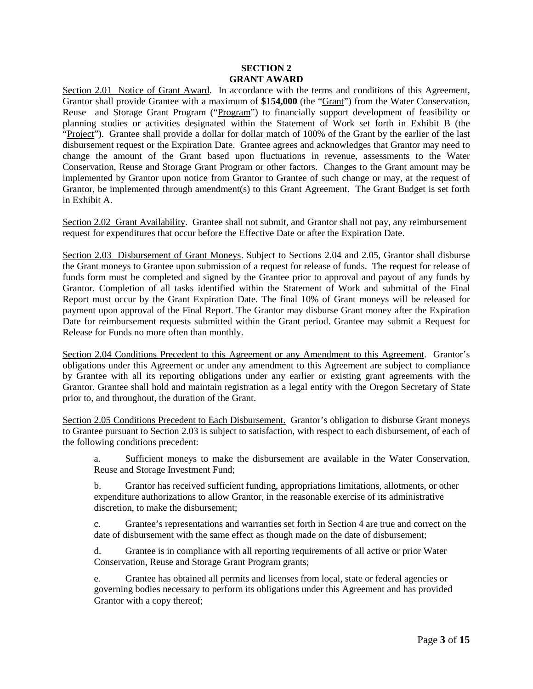#### **SECTION 2 GRANT AWARD**

Section 2.01 Notice of Grant Award. In accordance with the terms and conditions of this Agreement, Grantor shall provide Grantee with a maximum of **\$154,000** (the "Grant") from the Water Conservation, Reuse and Storage Grant Program ("Program") to financially support development of feasibility or planning studies or activities designated within the Statement of Work set forth in Exhibit B (the "Project"). Grantee shall provide a dollar for dollar match of 100% of the Grant by the earlier of the last disbursement request or the Expiration Date. Grantee agrees and acknowledges that Grantor may need to change the amount of the Grant based upon fluctuations in revenue, assessments to the Water Conservation, Reuse and Storage Grant Program or other factors. Changes to the Grant amount may be implemented by Grantor upon notice from Grantor to Grantee of such change or may, at the request of Grantor, be implemented through amendment(s) to this Grant Agreement. The Grant Budget is set forth in Exhibit A.

Section 2.02 Grant Availability. Grantee shall not submit, and Grantor shall not pay, any reimbursement request for expenditures that occur before the Effective Date or after the Expiration Date.

Section 2.03 Disbursement of Grant Moneys. Subject to Sections 2.04 and 2.05, Grantor shall disburse the Grant moneys to Grantee upon submission of a request for release of funds. The request for release of funds form must be completed and signed by the Grantee prior to approval and payout of any funds by Grantor. Completion of all tasks identified within the Statement of Work and submittal of the Final Report must occur by the Grant Expiration Date. The final 10% of Grant moneys will be released for payment upon approval of the Final Report. The Grantor may disburse Grant money after the Expiration Date for reimbursement requests submitted within the Grant period. Grantee may submit a Request for Release for Funds no more often than monthly.

Section 2.04 Conditions Precedent to this Agreement or any Amendment to this Agreement. Grantor's obligations under this Agreement or under any amendment to this Agreement are subject to compliance by Grantee with all its reporting obligations under any earlier or existing grant agreements with the Grantor. Grantee shall hold and maintain registration as a legal entity with the Oregon Secretary of State prior to, and throughout, the duration of the Grant.

Section 2.05 Conditions Precedent to Each Disbursement. Grantor's obligation to disburse Grant moneys to Grantee pursuant to Section 2.03 is subject to satisfaction, with respect to each disbursement, of each of the following conditions precedent:

a. Sufficient moneys to make the disbursement are available in the Water Conservation, Reuse and Storage Investment Fund;

b. Grantor has received sufficient funding, appropriations limitations, allotments, or other expenditure authorizations to allow Grantor, in the reasonable exercise of its administrative discretion, to make the disbursement;

c. Grantee's representations and warranties set forth in Section 4 are true and correct on the date of disbursement with the same effect as though made on the date of disbursement;

d. Grantee is in compliance with all reporting requirements of all active or prior Water Conservation, Reuse and Storage Grant Program grants;

e. Grantee has obtained all permits and licenses from local, state or federal agencies or governing bodies necessary to perform its obligations under this Agreement and has provided Grantor with a copy thereof;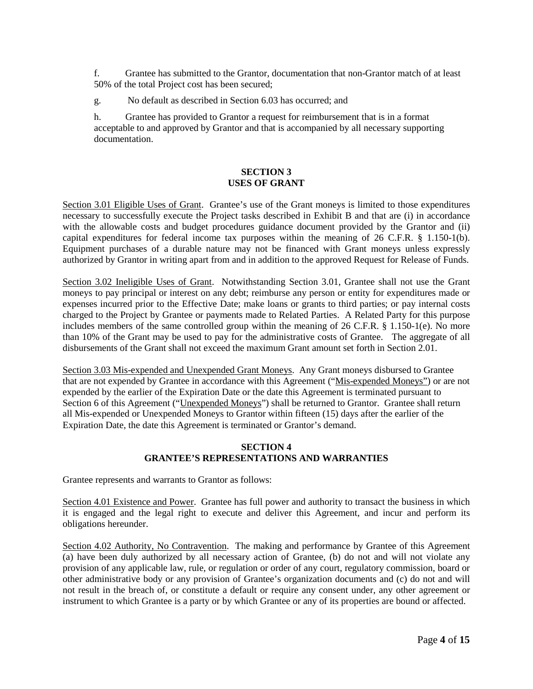f. Grantee has submitted to the Grantor, documentation that non-Grantor match of at least 50% of the total Project cost has been secured;

g. No default as described in Section 6.03 has occurred; and

h. Grantee has provided to Grantor a request for reimbursement that is in a format acceptable to and approved by Grantor and that is accompanied by all necessary supporting documentation.

## **SECTION 3 USES OF GRANT**

Section 3.01 Eligible Uses of Grant. Grantee's use of the Grant moneys is limited to those expenditures necessary to successfully execute the Project tasks described in Exhibit B and that are (i) in accordance with the allowable costs and budget procedures guidance document provided by the Grantor and (ii) capital expenditures for federal income tax purposes within the meaning of 26 C.F.R. § 1.150-1(b). Equipment purchases of a durable nature may not be financed with Grant moneys unless expressly authorized by Grantor in writing apart from and in addition to the approved Request for Release of Funds.

Section 3.02 Ineligible Uses of Grant. Notwithstanding Section 3.01, Grantee shall not use the Grant moneys to pay principal or interest on any debt; reimburse any person or entity for expenditures made or expenses incurred prior to the Effective Date; make loans or grants to third parties; or pay internal costs charged to the Project by Grantee or payments made to Related Parties. A Related Party for this purpose includes members of the same controlled group within the meaning of 26 C.F.R. § 1.150-1(e). No more than 10% of the Grant may be used to pay for the administrative costs of Grantee. The aggregate of all disbursements of the Grant shall not exceed the maximum Grant amount set forth in Section 2.01.

Section 3.03 Mis-expended and Unexpended Grant Moneys. Any Grant moneys disbursed to Grantee that are not expended by Grantee in accordance with this Agreement ("Mis-expended Moneys") or are not expended by the earlier of the Expiration Date or the date this Agreement is terminated pursuant to Section 6 of this Agreement ("Unexpended Moneys") shall be returned to Grantor. Grantee shall return all Mis-expended or Unexpended Moneys to Grantor within fifteen (15) days after the earlier of the Expiration Date, the date this Agreement is terminated or Grantor's demand.

#### **SECTION 4 GRANTEE'S REPRESENTATIONS AND WARRANTIES**

Grantee represents and warrants to Grantor as follows:

Section 4.01 Existence and Power. Grantee has full power and authority to transact the business in which it is engaged and the legal right to execute and deliver this Agreement, and incur and perform its obligations hereunder.

Section 4.02 Authority, No Contravention. The making and performance by Grantee of this Agreement (a) have been duly authorized by all necessary action of Grantee, (b) do not and will not violate any provision of any applicable law, rule, or regulation or order of any court, regulatory commission, board or other administrative body or any provision of Grantee's organization documents and (c) do not and will not result in the breach of, or constitute a default or require any consent under, any other agreement or instrument to which Grantee is a party or by which Grantee or any of its properties are bound or affected.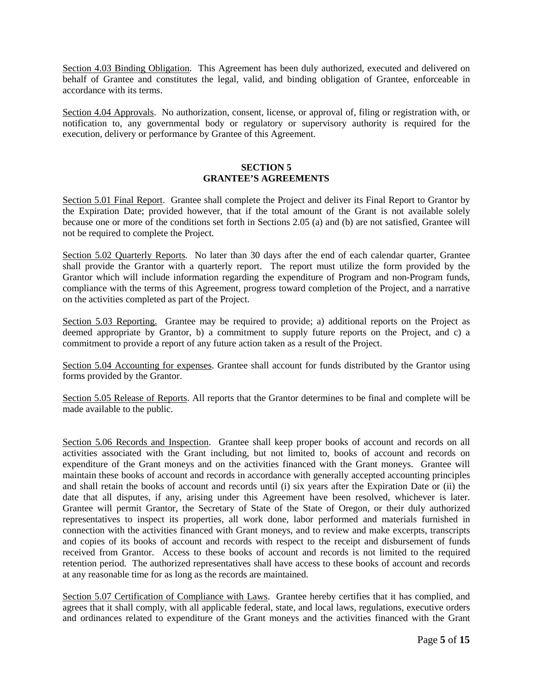Section 4.03 Binding Obligation. This Agreement has been duly authorized, executed and delivered on behalf of Grantee and constitutes the legal, valid, and binding obligation of Grantee, enforceable in accordance with its terms.

Section 4.04 Approvals. No authorization, consent, license, or approval of, filing or registration with, or notification to, any governmental body or regulatory or supervisory authority is required for the execution, delivery or performance by Grantee of this Agreement.

#### **SECTION 5 GRANTEE'S AGREEMENTS**

Section 5.01 Final Report. Grantee shall complete the Project and deliver its Final Report to Grantor by the Expiration Date; provided however, that if the total amount of the Grant is not available solely because one or more of the conditions set forth in Sections 2.05 (a) and (b) are not satisfied, Grantee will not be required to complete the Project.

Section 5.02 Quarterly Reports. No later than 30 days after the end of each calendar quarter, Grantee shall provide the Grantor with a quarterly report. The report must utilize the form provided by the Grantor which will include information regarding the expenditure of Program and non-Program funds, compliance with the terms of this Agreement, progress toward completion of the Project, and a narrative on the activities completed as part of the Project.

Section 5.03 Reporting. Grantee may be required to provide; a) additional reports on the Project as deemed appropriate by Grantor, b) a commitment to supply future reports on the Project, and c) a commitment to provide a report of any future action taken as a result of the Project.

Section 5.04 Accounting for expenses. Grantee shall account for funds distributed by the Grantor using forms provided by the Grantor.

Section 5.05 Release of Reports. All reports that the Grantor determines to be final and complete will be made available to the public.

Section 5.06 Records and Inspection. Grantee shall keep proper books of account and records on all activities associated with the Grant including, but not limited to, books of account and records on expenditure of the Grant moneys and on the activities financed with the Grant moneys. Grantee will maintain these books of account and records in accordance with generally accepted accounting principles and shall retain the books of account and records until (i) six years after the Expiration Date or (ii) the date that all disputes, if any, arising under this Agreement have been resolved, whichever is later. Grantee will permit Grantor, the Secretary of State of the State of Oregon, or their duly authorized representatives to inspect its properties, all work done, labor performed and materials furnished in connection with the activities financed with Grant moneys, and to review and make excerpts, transcripts and copies of its books of account and records with respect to the receipt and disbursement of funds received from Grantor. Access to these books of account and records is not limited to the required retention period. The authorized representatives shall have access to these books of account and records at any reasonable time for as long as the records are maintained.

Section 5.07 Certification of Compliance with Laws. Grantee hereby certifies that it has complied, and agrees that it shall comply, with all applicable federal, state, and local laws, regulations, executive orders and ordinances related to expenditure of the Grant moneys and the activities financed with the Grant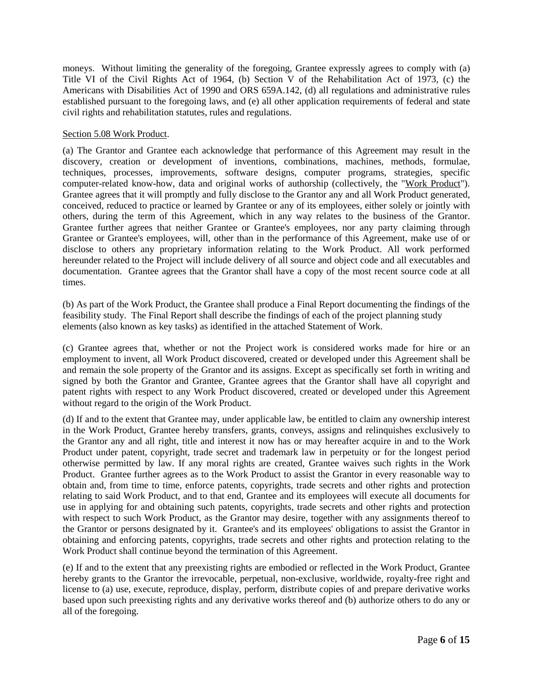moneys. Without limiting the generality of the foregoing, Grantee expressly agrees to comply with (a) Title VI of the Civil Rights Act of 1964, (b) Section V of the Rehabilitation Act of 1973, (c) the Americans with Disabilities Act of 1990 and ORS 659A.142, (d) all regulations and administrative rules established pursuant to the foregoing laws, and (e) all other application requirements of federal and state civil rights and rehabilitation statutes, rules and regulations.

## Section 5.08 Work Product.

(a) The Grantor and Grantee each acknowledge that performance of this Agreement may result in the discovery, creation or development of inventions, combinations, machines, methods, formulae, techniques, processes, improvements, software designs, computer programs, strategies, specific computer-related know-how, data and original works of authorship (collectively, the "Work Product"). Grantee agrees that it will promptly and fully disclose to the Grantor any and all Work Product generated, conceived, reduced to practice or learned by Grantee or any of its employees, either solely or jointly with others, during the term of this Agreement, which in any way relates to the business of the Grantor. Grantee further agrees that neither Grantee or Grantee's employees, nor any party claiming through Grantee or Grantee's employees, will, other than in the performance of this Agreement, make use of or disclose to others any proprietary information relating to the Work Product. All work performed hereunder related to the Project will include delivery of all source and object code and all executables and documentation. Grantee agrees that the Grantor shall have a copy of the most recent source code at all times.

(b) As part of the Work Product, the Grantee shall produce a Final Report documenting the findings of the feasibility study. The Final Report shall describe the findings of each of the project planning study elements (also known as key tasks) as identified in the attached Statement of Work.

(c) Grantee agrees that, whether or not the Project work is considered works made for hire or an employment to invent, all Work Product discovered, created or developed under this Agreement shall be and remain the sole property of the Grantor and its assigns. Except as specifically set forth in writing and signed by both the Grantor and Grantee, Grantee agrees that the Grantor shall have all copyright and patent rights with respect to any Work Product discovered, created or developed under this Agreement without regard to the origin of the Work Product.

(d) If and to the extent that Grantee may, under applicable law, be entitled to claim any ownership interest in the Work Product, Grantee hereby transfers, grants, conveys, assigns and relinquishes exclusively to the Grantor any and all right, title and interest it now has or may hereafter acquire in and to the Work Product under patent, copyright, trade secret and trademark law in perpetuity or for the longest period otherwise permitted by law. If any moral rights are created, Grantee waives such rights in the Work Product. Grantee further agrees as to the Work Product to assist the Grantor in every reasonable way to obtain and, from time to time, enforce patents, copyrights, trade secrets and other rights and protection relating to said Work Product, and to that end, Grantee and its employees will execute all documents for use in applying for and obtaining such patents, copyrights, trade secrets and other rights and protection with respect to such Work Product, as the Grantor may desire, together with any assignments thereof to the Grantor or persons designated by it. Grantee's and its employees' obligations to assist the Grantor in obtaining and enforcing patents, copyrights, trade secrets and other rights and protection relating to the Work Product shall continue beyond the termination of this Agreement.

(e) If and to the extent that any preexisting rights are embodied or reflected in the Work Product, Grantee hereby grants to the Grantor the irrevocable, perpetual, non-exclusive, worldwide, royalty-free right and license to (a) use, execute, reproduce, display, perform, distribute copies of and prepare derivative works based upon such preexisting rights and any derivative works thereof and (b) authorize others to do any or all of the foregoing.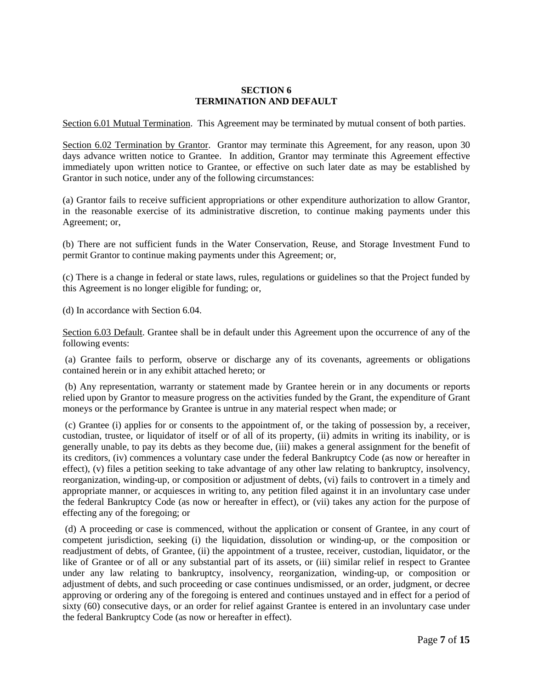#### **SECTION 6 TERMINATION AND DEFAULT**

Section 6.01 Mutual Termination. This Agreement may be terminated by mutual consent of both parties.

Section 6.02 Termination by Grantor. Grantor may terminate this Agreement, for any reason, upon 30 days advance written notice to Grantee. In addition, Grantor may terminate this Agreement effective immediately upon written notice to Grantee, or effective on such later date as may be established by Grantor in such notice, under any of the following circumstances:

(a) Grantor fails to receive sufficient appropriations or other expenditure authorization to allow Grantor, in the reasonable exercise of its administrative discretion, to continue making payments under this Agreement; or,

(b) There are not sufficient funds in the Water Conservation, Reuse, and Storage Investment Fund to permit Grantor to continue making payments under this Agreement; or,

(c) There is a change in federal or state laws, rules, regulations or guidelines so that the Project funded by this Agreement is no longer eligible for funding; or,

(d) In accordance with Section 6.04.

Section 6.03 Default. Grantee shall be in default under this Agreement upon the occurrence of any of the following events:

(a) Grantee fails to perform, observe or discharge any of its covenants, agreements or obligations contained herein or in any exhibit attached hereto; or

(b) Any representation, warranty or statement made by Grantee herein or in any documents or reports relied upon by Grantor to measure progress on the activities funded by the Grant, the expenditure of Grant moneys or the performance by Grantee is untrue in any material respect when made; or

(c) Grantee (i) applies for or consents to the appointment of, or the taking of possession by, a receiver, custodian, trustee, or liquidator of itself or of all of its property, (ii) admits in writing its inability, or is generally unable, to pay its debts as they become due, (iii) makes a general assignment for the benefit of its creditors, (iv) commences a voluntary case under the federal Bankruptcy Code (as now or hereafter in effect), (v) files a petition seeking to take advantage of any other law relating to bankruptcy, insolvency, reorganization, winding-up, or composition or adjustment of debts, (vi) fails to controvert in a timely and appropriate manner, or acquiesces in writing to, any petition filed against it in an involuntary case under the federal Bankruptcy Code (as now or hereafter in effect), or (vii) takes any action for the purpose of effecting any of the foregoing; or

(d) A proceeding or case is commenced, without the application or consent of Grantee, in any court of competent jurisdiction, seeking (i) the liquidation, dissolution or winding-up, or the composition or readjustment of debts, of Grantee, (ii) the appointment of a trustee, receiver, custodian, liquidator, or the like of Grantee or of all or any substantial part of its assets, or (iii) similar relief in respect to Grantee under any law relating to bankruptcy, insolvency, reorganization, winding-up, or composition or adjustment of debts, and such proceeding or case continues undismissed, or an order, judgment, or decree approving or ordering any of the foregoing is entered and continues unstayed and in effect for a period of sixty (60) consecutive days, or an order for relief against Grantee is entered in an involuntary case under the federal Bankruptcy Code (as now or hereafter in effect).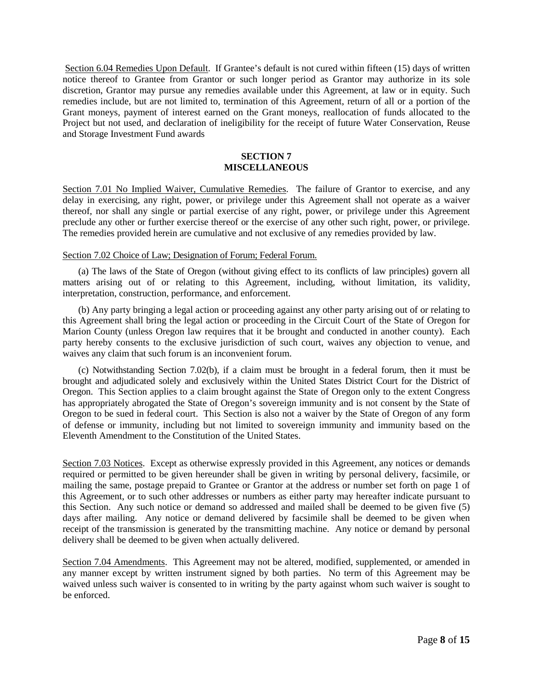Section 6.04 Remedies Upon Default. If Grantee's default is not cured within fifteen (15) days of written notice thereof to Grantee from Grantor or such longer period as Grantor may authorize in its sole discretion, Grantor may pursue any remedies available under this Agreement, at law or in equity. Such remedies include, but are not limited to, termination of this Agreement, return of all or a portion of the Grant moneys, payment of interest earned on the Grant moneys, reallocation of funds allocated to the Project but not used, and declaration of ineligibility for the receipt of future Water Conservation, Reuse and Storage Investment Fund awards

#### **SECTION 7 MISCELLANEOUS**

Section 7.01 No Implied Waiver, Cumulative Remedies. The failure of Grantor to exercise, and any delay in exercising, any right, power, or privilege under this Agreement shall not operate as a waiver thereof, nor shall any single or partial exercise of any right, power, or privilege under this Agreement preclude any other or further exercise thereof or the exercise of any other such right, power, or privilege. The remedies provided herein are cumulative and not exclusive of any remedies provided by law.

#### Section 7.02 Choice of Law; Designation of Forum; Federal Forum.

(a) The laws of the State of Oregon (without giving effect to its conflicts of law principles) govern all matters arising out of or relating to this Agreement, including, without limitation, its validity, interpretation, construction, performance, and enforcement.

(b) Any party bringing a legal action or proceeding against any other party arising out of or relating to this Agreement shall bring the legal action or proceeding in the Circuit Court of the State of Oregon for Marion County (unless Oregon law requires that it be brought and conducted in another county). Each party hereby consents to the exclusive jurisdiction of such court, waives any objection to venue, and waives any claim that such forum is an inconvenient forum.

(c) Notwithstanding Section 7.02(b), if a claim must be brought in a federal forum, then it must be brought and adjudicated solely and exclusively within the United States District Court for the District of Oregon. This Section applies to a claim brought against the State of Oregon only to the extent Congress has appropriately abrogated the State of Oregon's sovereign immunity and is not consent by the State of Oregon to be sued in federal court.This Section is also not a waiver by the State of Oregon of any form of defense or immunity, including but not limited to sovereign immunity and immunity based on the Eleventh Amendment to the Constitution of the United States.

Section 7.03 Notices. Except as otherwise expressly provided in this Agreement, any notices or demands required or permitted to be given hereunder shall be given in writing by personal delivery, facsimile, or mailing the same, postage prepaid to Grantee or Grantor at the address or number set forth on page 1 of this Agreement, or to such other addresses or numbers as either party may hereafter indicate pursuant to this Section. Any such notice or demand so addressed and mailed shall be deemed to be given five (5) days after mailing. Any notice or demand delivered by facsimile shall be deemed to be given when receipt of the transmission is generated by the transmitting machine. Any notice or demand by personal delivery shall be deemed to be given when actually delivered.

Section 7.04 Amendments. This Agreement may not be altered, modified, supplemented, or amended in any manner except by written instrument signed by both parties. No term of this Agreement may be waived unless such waiver is consented to in writing by the party against whom such waiver is sought to be enforced.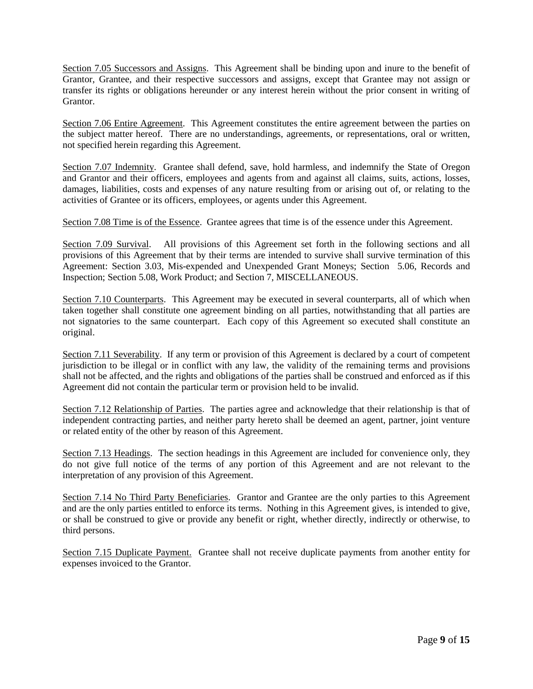Section 7.05 Successors and Assigns. This Agreement shall be binding upon and inure to the benefit of Grantor, Grantee, and their respective successors and assigns, except that Grantee may not assign or transfer its rights or obligations hereunder or any interest herein without the prior consent in writing of Grantor.

Section 7.06 Entire Agreement. This Agreement constitutes the entire agreement between the parties on the subject matter hereof. There are no understandings, agreements, or representations, oral or written, not specified herein regarding this Agreement.

Section 7.07 Indemnity. Grantee shall defend, save, hold harmless, and indemnify the State of Oregon and Grantor and their officers, employees and agents from and against all claims, suits, actions, losses, damages, liabilities, costs and expenses of any nature resulting from or arising out of, or relating to the activities of Grantee or its officers, employees, or agents under this Agreement.

Section 7.08 Time is of the Essence. Grantee agrees that time is of the essence under this Agreement.

Section 7.09 Survival. All provisions of this Agreement set forth in the following sections and all provisions of this Agreement that by their terms are intended to survive shall survive termination of this Agreement: Section 3.03, Mis-expended and Unexpended Grant Moneys; Section 5.06, Records and Inspection; Section 5.08, Work Product; and Section 7, MISCELLANEOUS.

Section 7.10 Counterparts. This Agreement may be executed in several counterparts, all of which when taken together shall constitute one agreement binding on all parties, notwithstanding that all parties are not signatories to the same counterpart. Each copy of this Agreement so executed shall constitute an original.

Section 7.11 Severability. If any term or provision of this Agreement is declared by a court of competent jurisdiction to be illegal or in conflict with any law, the validity of the remaining terms and provisions shall not be affected, and the rights and obligations of the parties shall be construed and enforced as if this Agreement did not contain the particular term or provision held to be invalid.

Section 7.12 Relationship of Parties. The parties agree and acknowledge that their relationship is that of independent contracting parties, and neither party hereto shall be deemed an agent, partner, joint venture or related entity of the other by reason of this Agreement.

Section 7.13 Headings. The section headings in this Agreement are included for convenience only, they do not give full notice of the terms of any portion of this Agreement and are not relevant to the interpretation of any provision of this Agreement.

Section 7.14 No Third Party Beneficiaries. Grantor and Grantee are the only parties to this Agreement and are the only parties entitled to enforce its terms. Nothing in this Agreement gives, is intended to give, or shall be construed to give or provide any benefit or right, whether directly, indirectly or otherwise, to third persons.

Section 7.15 Duplicate Payment. Grantee shall not receive duplicate payments from another entity for expenses invoiced to the Grantor.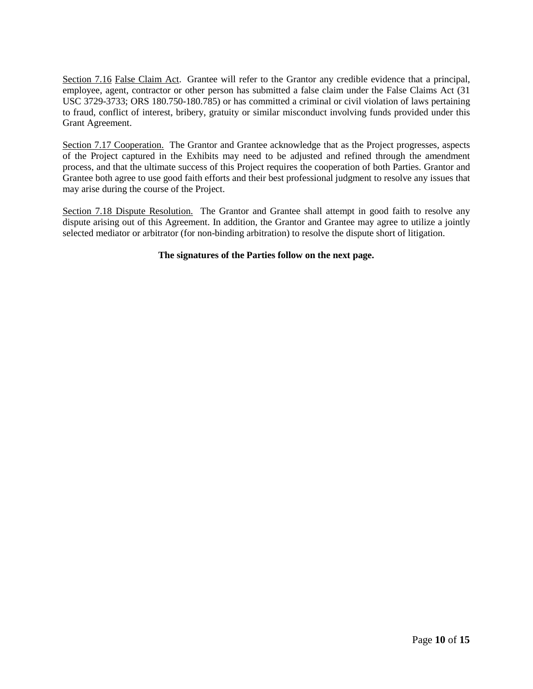Section 7.16 False Claim Act. Grantee will refer to the Grantor any credible evidence that a principal, employee, agent, contractor or other person has submitted a false claim under the False Claims Act (31 USC 3729-3733; ORS 180.750-180.785) or has committed a criminal or civil violation of laws pertaining to fraud, conflict of interest, bribery, gratuity or similar misconduct involving funds provided under this Grant Agreement.

Section 7.17 Cooperation. The Grantor and Grantee acknowledge that as the Project progresses, aspects of the Project captured in the Exhibits may need to be adjusted and refined through the amendment process, and that the ultimate success of this Project requires the cooperation of both Parties. Grantor and Grantee both agree to use good faith efforts and their best professional judgment to resolve any issues that may arise during the course of the Project.

Section 7.18 Dispute Resolution. The Grantor and Grantee shall attempt in good faith to resolve any dispute arising out of this Agreement. In addition, the Grantor and Grantee may agree to utilize a jointly selected mediator or arbitrator (for non-binding arbitration) to resolve the dispute short of litigation.

## **The signatures of the Parties follow on the next page.**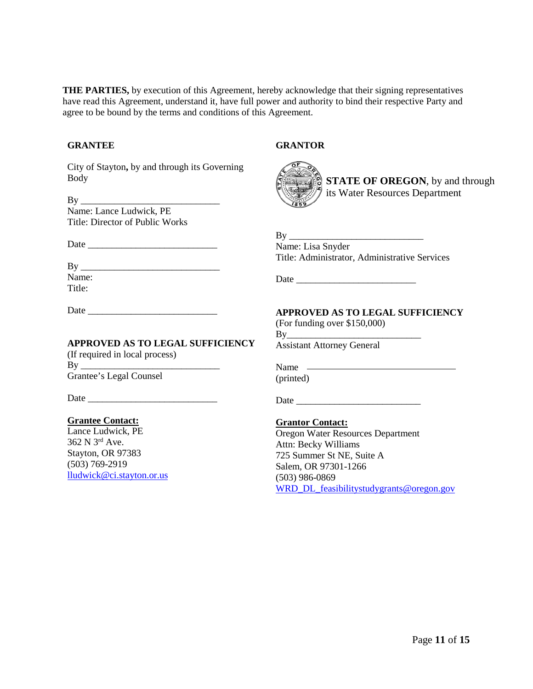**THE PARTIES,** by execution of this Agreement, hereby acknowledge that their signing representatives have read this Agreement, understand it, have full power and authority to bind their respective Party and agree to be bound by the terms and conditions of this Agreement.

#### **GRANTEE**

City of Stayton**,** by and through its Governing Body

 $\operatorname{By}$ Name: Lance Ludwick, PE Title: Director of Public Works

Date \_\_\_\_\_\_\_\_\_\_\_\_\_\_\_\_\_\_\_\_\_\_\_\_\_\_\_

By \_\_\_\_\_\_\_\_\_\_\_\_\_\_\_\_\_\_\_\_\_\_\_\_\_\_\_\_\_ Name: Title:

**GRANTOR**



**STATE OF OREGON**, by and through its Water Resources Department

 $Bv$ 

Name: Lisa Snyder Title: Administrator, Administrative Services

Date  $\Box$ 

Date  $\Box$ 

Date  $\Box$ 

#### **APPROVED AS TO LEGAL SUFFICIENCY**

(If required in local process)  $Bv$ Grantee's Legal Counsel

Date  $\Box$ 

#### **Grantee Contact:**

Lance Ludwick, PE 362 N 3rd Ave. Stayton, OR 97383 (503) 769-2919 [lludwick@ci.stayton.or.us](mailto:lludwick@ci.stayton.or.us) **APPROVED AS TO LEGAL SUFFICIENCY**

(For funding over \$150,000)  $Bv$ 

Assistant Attorney General

Name (printed)

**Grantor Contact:**

Oregon Water Resources Department Attn: Becky Williams 725 Summer St NE, Suite A Salem, OR 97301-1266 (503) 986-0869 [WRD\\_DL\\_feasibilitystudygrants@oregon.gov](mailto:WRD_DL_feasibilitystudygrants@oregon.gov)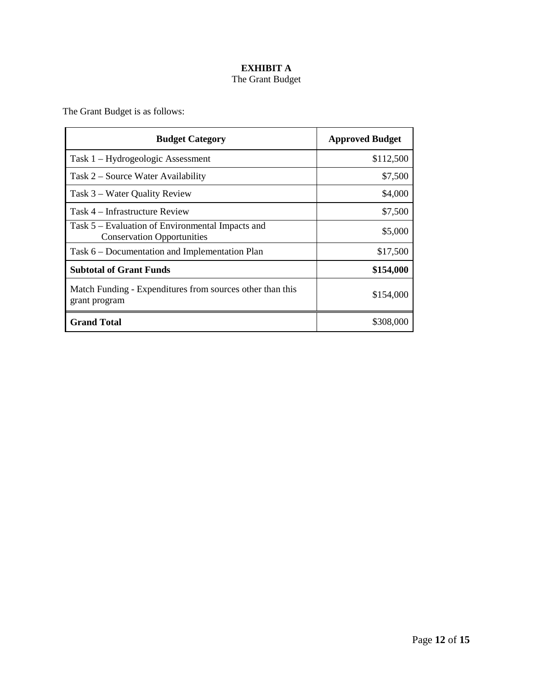# **EXHIBIT A**  The Grant Budget

The Grant Budget is as follows:

| <b>Budget Category</b>                                                                | <b>Approved Budget</b> |
|---------------------------------------------------------------------------------------|------------------------|
| Task 1 – Hydrogeologic Assessment                                                     | \$112,500              |
| Task 2 – Source Water Availability                                                    | \$7,500                |
| Task 3 – Water Quality Review                                                         | \$4,000                |
| Task 4 – Infrastructure Review                                                        | \$7,500                |
| Task 5 – Evaluation of Environmental Impacts and<br><b>Conservation Opportunities</b> | \$5,000                |
| Task 6 – Documentation and Implementation Plan                                        | \$17,500               |
| <b>Subtotal of Grant Funds</b>                                                        | \$154,000              |
| Match Funding - Expenditures from sources other than this<br>grant program            | \$154,000              |
| <b>Grand Total</b>                                                                    | \$308,000              |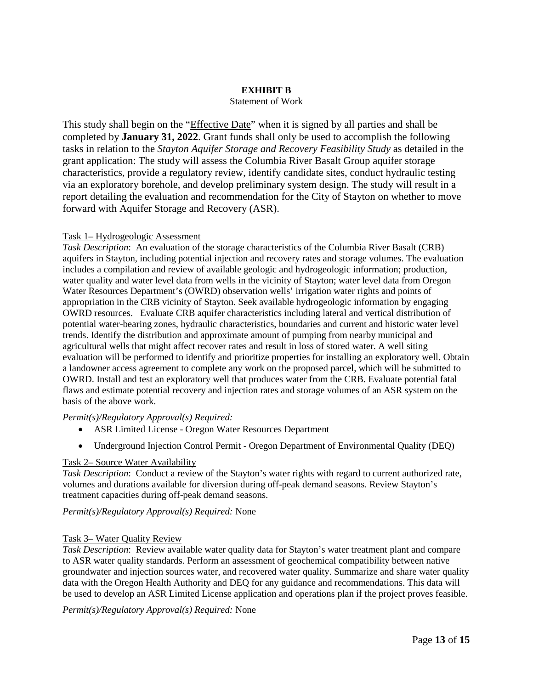#### **EXHIBIT B**

#### Statement of Work

This study shall begin on the "Effective Date" when it is signed by all parties and shall be completed by **January 31, 2022**. Grant funds shall only be used to accomplish the following tasks in relation to the *Stayton Aquifer Storage and Recovery Feasibility Study* as detailed in the grant application: The study will assess the Columbia River Basalt Group aquifer storage characteristics, provide a regulatory review, identify candidate sites, conduct hydraulic testing via an exploratory borehole, and develop preliminary system design. The study will result in a report detailing the evaluation and recommendation for the City of Stayton on whether to move forward with Aquifer Storage and Recovery (ASR).

#### Task 1– Hydrogeologic Assessment

*Task Description*: An evaluation of the storage characteristics of the Columbia River Basalt (CRB) aquifers in Stayton, including potential injection and recovery rates and storage volumes. The evaluation includes a compilation and review of available geologic and hydrogeologic information; production, water quality and water level data from wells in the vicinity of Stayton; water level data from Oregon Water Resources Department's (OWRD) observation wells' irrigation water rights and points of appropriation in the CRB vicinity of Stayton. Seek available hydrogeologic information by engaging OWRD resources. Evaluate CRB aquifer characteristics including lateral and vertical distribution of potential water-bearing zones, hydraulic characteristics, boundaries and current and historic water level trends. Identify the distribution and approximate amount of pumping from nearby municipal and agricultural wells that might affect recover rates and result in loss of stored water. A well siting evaluation will be performed to identify and prioritize properties for installing an exploratory well. Obtain a landowner access agreement to complete any work on the proposed parcel, which will be submitted to OWRD. Install and test an exploratory well that produces water from the CRB. Evaluate potential fatal flaws and estimate potential recovery and injection rates and storage volumes of an ASR system on the basis of the above work.

#### *Permit(s)/Regulatory Approval(s) Required:*

- ASR Limited License Oregon Water Resources Department
- Underground Injection Control Permit Oregon Department of Environmental Quality (DEO)

#### Task 2– Source Water Availability

*Task Description*: Conduct a review of the Stayton's water rights with regard to current authorized rate, volumes and durations available for diversion during off-peak demand seasons. Review Stayton's treatment capacities during off-peak demand seasons.

#### *Permit(s)/Regulatory Approval(s) Required:* None

#### Task 3– Water Quality Review

*Task Description*: Review available water quality data for Stayton's water treatment plant and compare to ASR water quality standards. Perform an assessment of geochemical compatibility between native groundwater and injection sources water, and recovered water quality. Summarize and share water quality data with the Oregon Health Authority and DEQ for any guidance and recommendations. This data will be used to develop an ASR Limited License application and operations plan if the project proves feasible.

*Permit(s)/Regulatory Approval(s) Required:* None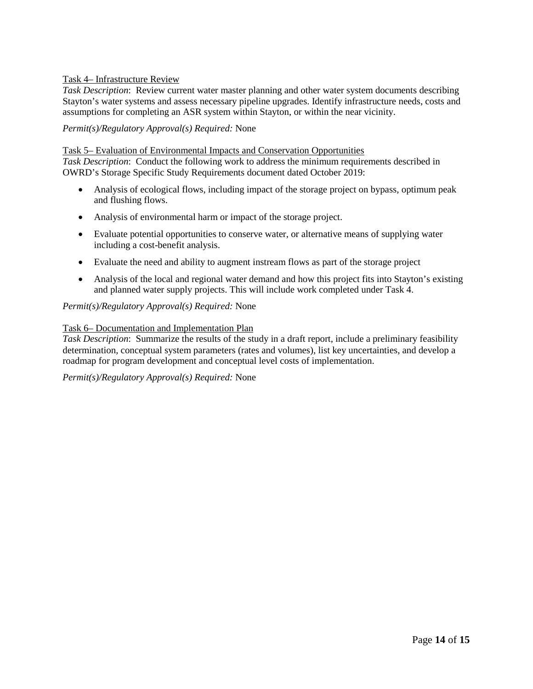## Task 4– Infrastructure Review

*Task Description*: Review current water master planning and other water system documents describing Stayton's water systems and assess necessary pipeline upgrades. Identify infrastructure needs, costs and assumptions for completing an ASR system within Stayton, or within the near vicinity.

#### *Permit(s)/Regulatory Approval(s) Required:* None

#### Task 5– Evaluation of Environmental Impacts and Conservation Opportunities

*Task Description*: Conduct the following work to address the minimum requirements described in OWRD's Storage Specific Study Requirements document dated October 2019:

- Analysis of ecological flows, including impact of the storage project on bypass, optimum peak and flushing flows.
- Analysis of environmental harm or impact of the storage project.
- Evaluate potential opportunities to conserve water, or alternative means of supplying water including a cost-benefit analysis.
- Evaluate the need and ability to augment instream flows as part of the storage project
- Analysis of the local and regional water demand and how this project fits into Stayton's existing and planned water supply projects. This will include work completed under Task 4.

## *Permit(s)/Regulatory Approval(s) Required:* None

#### Task 6– Documentation and Implementation Plan

*Task Description*: Summarize the results of the study in a draft report, include a preliminary feasibility determination, conceptual system parameters (rates and volumes), list key uncertainties, and develop a roadmap for program development and conceptual level costs of implementation.

#### *Permit(s)/Regulatory Approval(s) Required:* None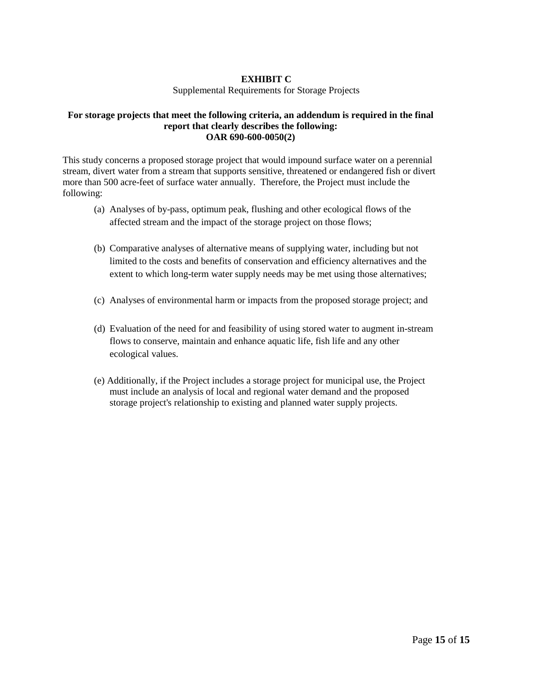## **EXHIBIT C**

#### Supplemental Requirements for Storage Projects

#### **For storage projects that meet the following criteria, an addendum is required in the final report that clearly describes the following: OAR 690-600-0050(2)**

This study concerns a proposed storage project that would impound surface water on a perennial stream, divert water from a stream that supports sensitive, threatened or endangered fish or divert more than 500 acre-feet of surface water annually. Therefore, the Project must include the following:

- (a) Analyses of by-pass, optimum peak, flushing and other ecological flows of the affected stream and the impact of the storage project on those flows;
- (b) Comparative analyses of alternative means of supplying water, including but not limited to the costs and benefits of conservation and efficiency alternatives and the extent to which long-term water supply needs may be met using those alternatives;
- (c) Analyses of environmental harm or impacts from the proposed storage project; and
- (d) Evaluation of the need for and feasibility of using stored water to augment in-stream flows to conserve, maintain and enhance aquatic life, fish life and any other ecological values.
- (e) Additionally, if the Project includes a storage project for municipal use, the Project must include an analysis of local and regional water demand and the proposed storage project's relationship to existing and planned water supply projects.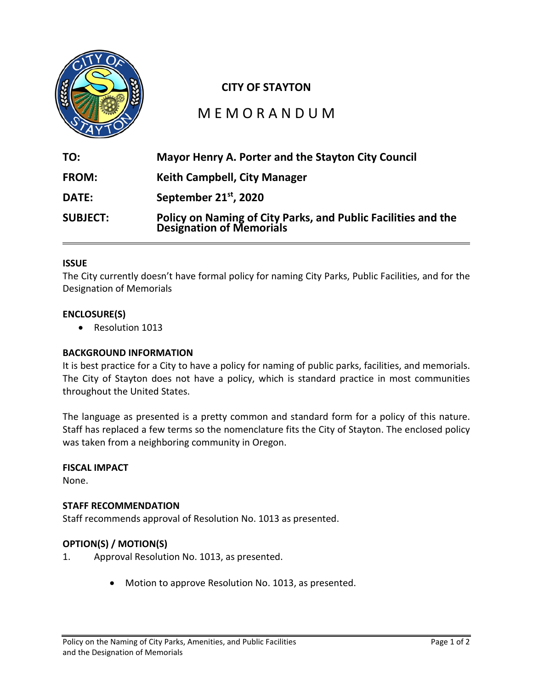

# **CITY OF STAYTON**

# M E M O R A N D U M

| TO:             | Mayor Henry A. Porter and the Stayton City Council                                            |
|-----------------|-----------------------------------------------------------------------------------------------|
| <b>FROM:</b>    | <b>Keith Campbell, City Manager</b>                                                           |
| <b>DATE:</b>    | September 21 <sup>st</sup> , 2020                                                             |
| <b>SUBJECT:</b> | <b>Policy on Naming of City Parks, and Public Facilities and the Designation of Memorials</b> |

# **ISSUE**

The City currently doesn't have formal policy for naming City Parks, Public Facilities, and for the Designation of Memorials

# **ENCLOSURE(S)**

• Resolution 1013

# **BACKGROUND INFORMATION**

It is best practice for a City to have a policy for naming of public parks, facilities, and memorials. The City of Stayton does not have a policy, which is standard practice in most communities throughout the United States.

The language as presented is a pretty common and standard form for a policy of this nature. Staff has replaced a few terms so the nomenclature fits the City of Stayton. The enclosed policy was taken from a neighboring community in Oregon.

#### **FISCAL IMPACT**

None.

# **STAFF RECOMMENDATION**

Staff recommends approval of Resolution No. 1013 as presented.

# **OPTION(S) / MOTION(S)**

- 1. Approval Resolution No. 1013, as presented.
	- Motion to approve Resolution No. 1013, as presented.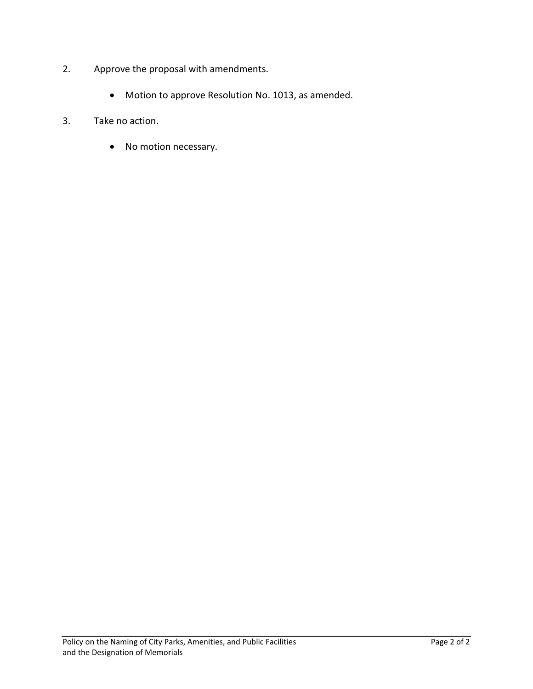- 2. Approve the proposal with amendments.
	- Motion to approve Resolution No. 1013, as amended.
- 3. Take no action.
	- No motion necessary.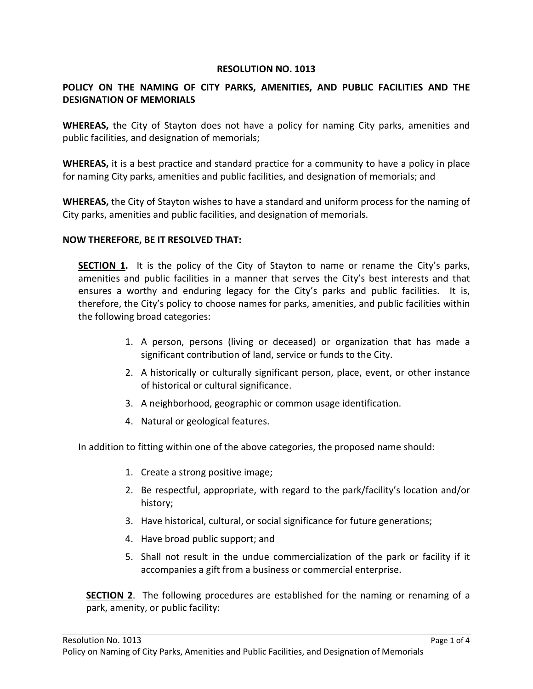# **RESOLUTION NO. 1013**

# **POLICY ON THE NAMING OF CITY PARKS, AMENITIES, AND PUBLIC FACILITIES AND THE DESIGNATION OF MEMORIALS**

**WHEREAS,** the City of Stayton does not have a policy for naming City parks, amenities and public facilities, and designation of memorials;

**WHEREAS,** it is a best practice and standard practice for a community to have a policy in place for naming City parks, amenities and public facilities, and designation of memorials; and

**WHEREAS,** the City of Stayton wishes to have a standard and uniform process for the naming of City parks, amenities and public facilities, and designation of memorials.

## **NOW THEREFORE, BE IT RESOLVED THAT:**

**SECTION 1.** It is the policy of the City of Stayton to name or rename the City's parks, amenities and public facilities in a manner that serves the City's best interests and that ensures a worthy and enduring legacy for the City's parks and public facilities. It is, therefore, the City's policy to choose names for parks, amenities, and public facilities within the following broad categories:

- 1. A person, persons (living or deceased) or organization that has made a significant contribution of land, service or funds to the City.
- 2. A historically or culturally significant person, place, event, or other instance of historical or cultural significance.
- 3. A neighborhood, geographic or common usage identification.
- 4. Natural or geological features.

In addition to fitting within one of the above categories, the proposed name should:

- 1. Create a strong positive image;
- 2. Be respectful, appropriate, with regard to the park/facility's location and/or history;
- 3. Have historical, cultural, or social significance for future generations;
- 4. Have broad public support; and
- 5. Shall not result in the undue commercialization of the park or facility if it accompanies a gift from a business or commercial enterprise.

**SECTION 2**. The following procedures are established for the naming or renaming of a park, amenity, or public facility: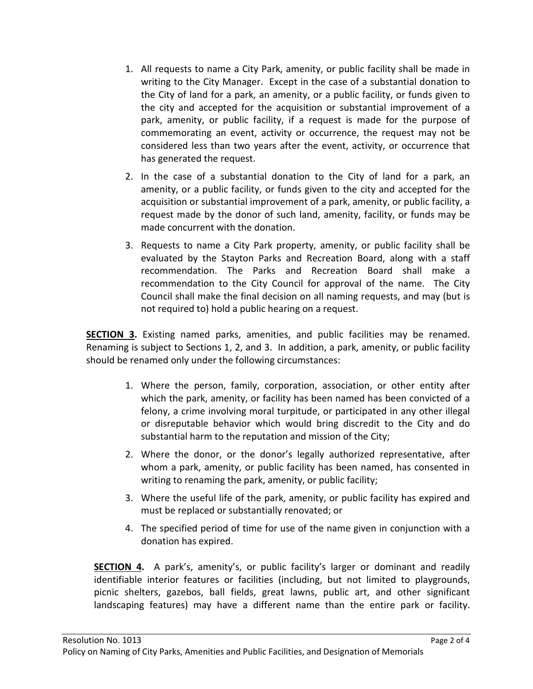- 1. All requests to name a City Park, amenity, or public facility shall be made in writing to the City Manager. Except in the case of a substantial donation to the City of land for a park, an amenity, or a public facility, or funds given to the city and accepted for the acquisition or substantial improvement of a park, amenity, or public facility, if a request is made for the purpose of commemorating an event, activity or occurrence, the request may not be considered less than two years after the event, activity, or occurrence that has generated the request.
- 2. In the case of a substantial donation to the City of land for a park, an amenity, or a public facility, or funds given to the city and accepted for the acquisition or substantial improvement of a park, amenity, or public facility, a request made by the donor of such land, amenity, facility, or funds may be made concurrent with the donation.
- 3. Requests to name a City Park property, amenity, or public facility shall be evaluated by the Stayton Parks and Recreation Board, along with a staff recommendation. The Parks and Recreation Board shall make a recommendation to the City Council for approval of the name. The City Council shall make the final decision on all naming requests, and may (but is not required to) hold a public hearing on a request.

**SECTION 3.** Existing named parks, amenities, and public facilities may be renamed. Renaming is subject to Sections 1, 2, and 3. In addition, a park, amenity, or public facility should be renamed only under the following circumstances:

- 1. Where the person, family, corporation, association, or other entity after which the park, amenity, or facility has been named has been convicted of a felony, a crime involving moral turpitude, or participated in any other illegal or disreputable behavior which would bring discredit to the City and do substantial harm to the reputation and mission of the City;
- 2. Where the donor, or the donor's legally authorized representative, after whom a park, amenity, or public facility has been named, has consented in writing to renaming the park, amenity, or public facility;
- 3. Where the useful life of the park, amenity, or public facility has expired and must be replaced or substantially renovated; or
- 4. The specified period of time for use of the name given in conjunction with a donation has expired.

**SECTION 4.** A park's, amenity's, or public facility's larger or dominant and readily identifiable interior features or facilities (including, but not limited to playgrounds, picnic shelters, gazebos, ball fields, great lawns, public art, and other significant landscaping features) may have a different name than the entire park or facility.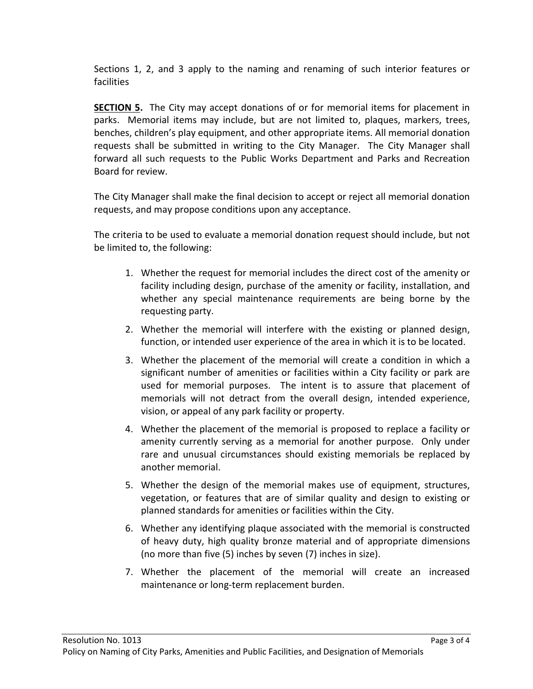Sections 1, 2, and 3 apply to the naming and renaming of such interior features or facilities

**SECTION 5.** The City may accept donations of or for memorial items for placement in parks. Memorial items may include, but are not limited to, plaques, markers, trees, benches, children's play equipment, and other appropriate items. All memorial donation requests shall be submitted in writing to the City Manager. The City Manager shall forward all such requests to the Public Works Department and Parks and Recreation Board for review.

The City Manager shall make the final decision to accept or reject all memorial donation requests, and may propose conditions upon any acceptance.

The criteria to be used to evaluate a memorial donation request should include, but not be limited to, the following:

- 1. Whether the request for memorial includes the direct cost of the amenity or facility including design, purchase of the amenity or facility, installation, and whether any special maintenance requirements are being borne by the requesting party.
- 2. Whether the memorial will interfere with the existing or planned design, function, or intended user experience of the area in which it is to be located.
- 3. Whether the placement of the memorial will create a condition in which a significant number of amenities or facilities within a City facility or park are used for memorial purposes. The intent is to assure that placement of memorials will not detract from the overall design, intended experience, vision, or appeal of any park facility or property.
- 4. Whether the placement of the memorial is proposed to replace a facility or amenity currently serving as a memorial for another purpose. Only under rare and unusual circumstances should existing memorials be replaced by another memorial.
- 5. Whether the design of the memorial makes use of equipment, structures, vegetation, or features that are of similar quality and design to existing or planned standards for amenities or facilities within the City.
- 6. Whether any identifying plaque associated with the memorial is constructed of heavy duty, high quality bronze material and of appropriate dimensions (no more than five (5) inches by seven (7) inches in size).
- 7. Whether the placement of the memorial will create an increased maintenance or long-term replacement burden.